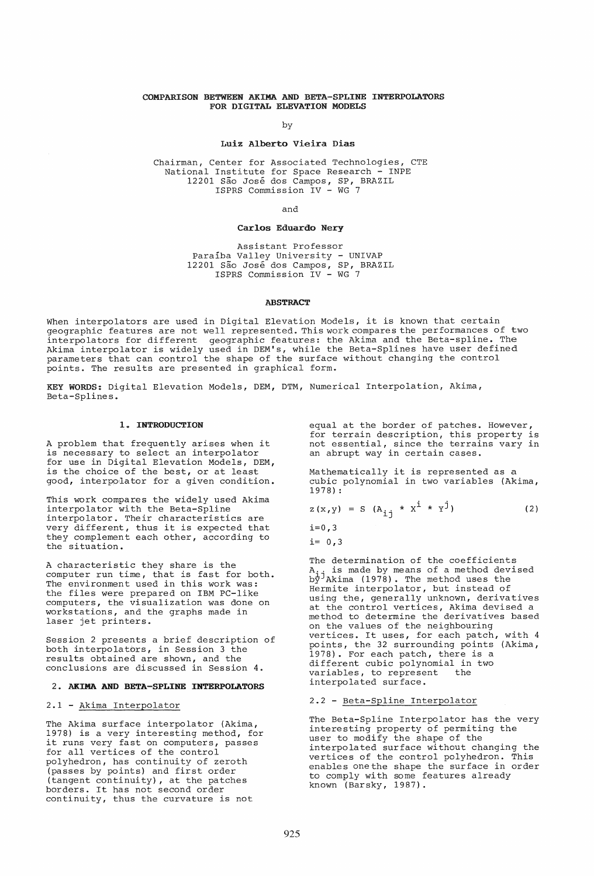# COMPARISON BETWEEN AKIMA AND BETA-SPLINE INTERPOLATORS FOR DIGITAL ELEVATION MODELS

by

#### Luiz Alberto Vieira Dias

Chairman, Center for Associated Technologies, CTE National Institute for Space Research - INPE 12201 São José dos Campos, SP, BRAZIL ISPRS Commission IV - WG 7

and

# Carlos Eduardo Nery

Assistant Professor Paralba Valley University - UNIVAP 12201 São José dos Campos, SP, BRAZIL ISPRS Commission IV - WG 7

#### ABSTRACT

When interpolators are used in Digital Elevation Models, it is known that certain geographic features are not well represented. This work compares the performances of two interpolators for different geographic features: the Akima and the Beta-spline. The Akima interpolator is widely used in DEM's, while the Beta-Splines have user defined parameters that can control the shape of the surface without changing the control points. The results are presented in graphical form.

KEY WORDS: Digital Elevation Models, DEM, DTM, Numerical Interpolation, Akima, Beta-Splines.

# 1. INTRODUCTION

A problem that frequently arises when it is necessary to select an interpolator for use in Digital Elevation Models, DEM, is the choice of the best, or at least good, interpolator for a given condition.

This work compares the widely used Akima interpolator with the Beta-Spline interpolator. Their characteristics are very different, thus it is expected that they complement each other, according to the situation.

A characteristic they share is the computer run time, that is fast for both. The environment used in this work was: the files were prepared on IBM PC-like computers, the visualization was done on workstations, and the graphs made in laser jet printers.

Session 2 presents a brief description of both interpolatbrs, in Session 3 the results obtained are shown, and the conclusions are discussed in Session 4.

### 2. AKIMA AND BETA-SPLINE INTERPOLATORS

#### 2.1 - Akima Interpolator

The Akima surface interpolator (Akima, 1978) is a very interesting method, for it runs very fast on computers, passes for all vertices of the control polyhedron, has continuity of zeroth (passes by points) and first order (tangent continuity), at the patches borders. It has not second order continuity, thus the curvature is not

equal at the border of patches. However, for terrain description, this property is not essential, since the terrains vary in an abrupt way in certain cases.

Mathematically it is represented as a cubic polynomial in two variables (Akima, 1978) :

$$
z(x,y) = S (A_{ij} * x^{i} * y^{j})
$$
 (2)

 $i=0,3$ 

 $i= 0, 3$ 

The determination of the coefficients is made by means of a method devised  $A_i$  is made by means of a model.<br>by Akima (1978). The method uses the Hermite interpolator, but instead of using the, generally unknown, derivatives at the control vertices, Akima devised a method to determine the derivatives based on the values of the neighbouring vertices. It uses, for each patch, with 4 points, the 32 surrounding points (Akima, 1978). For each patch, there is a different cubic polynomial in two<br>variables, to represent the variables, to represent interpolated surface.

# 2.2 - Beta-Spline Interpolator

The Beta-Spline Interpolator has the very interesting property of permiting the user to modify the shape of the interpolated surface without changing the vertices of the control polyhedron. This enables one the shape the surface in order to comply with some features already known (Barsky, 1987).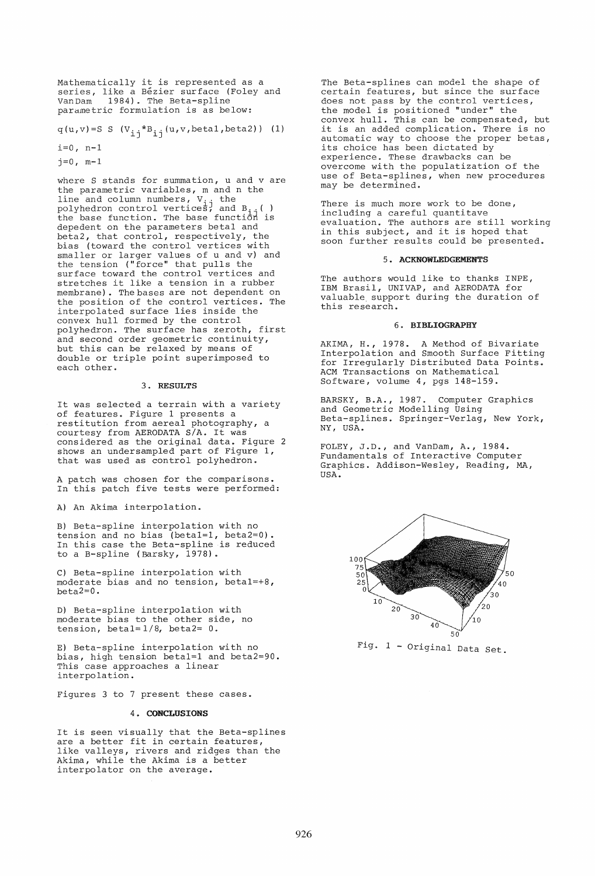Mathematically it is represented as a series, like a Bézier surface (Foley and<br>VanDam 1984). The Beta-spline 1984). The Beta-spline parametric formulation is as below:

q(u,v)=S S (V<sub>ij</sub>\*B<sub>ij</sub>(u,v,betal,beta2)) (1)

 $i=0$ , n-1

 $j=0$ ,  $m-1$ 

where S stands for summation, u and v are the parametric variables, m and n the end parametro variables, when ind . polyhedron control vertices, and B<sub>ii</sub>( ) poryheaten centred versions, and  $\frac{1}{11}$  is depedent on the parameters betal and beta2, that control, respectively, the bias (toward the control vertices with smaller or larger values of u and v) and the tension ("force" that pulls the surface toward the control vertices and stretches it like a tension in a rubber membrane). The bases are not dependent on the position of the control vertices. The interpolated surface lies inside the convex hull formed by the control polyhedron. The surface has zeroth, first and second order geometric continuity, but this can be relaxed by means of double or triple point superimposed to each other.

#### 3. RESULTS

It was selected a terrain with a variety of features. Figure 1 presents a restitution from aereal photography, a courtesy from AERODATA S/A. It was considered as the original data. Figure 2 shows an undersampled part of Figure 1, that was used as control polyhedron.

A patch was chosen for the comparisons. In this patch five tests were performed:

A) An Akima interpolation.

B) Beta-spline interpolation with no tension and no bias (beta1=1, beta2=O). In this case the Beta-spline is reduced to a B-spline (Barsky, 1978).

C) Beta-spline interpolation with moderate bias and no tension, beta1=+8, beta2=O.

D) Beta-spline interpolation with moderate bias to the other side, no tension, betal= $1/8$ , betal= $0$ .

E) Beta-spline interpolation with no bias, high tension beta1=1 and beta2=90. This case approaches a linear interpolation.

Figures 3 to 7 present these cases.

# 4. CONCLUSIONS

It is seen visually that the Beta-splines are a better fit in certain features, are a sector five in cortain roacares,<br>like valleys, rivers and ridges than the Akima, while the Akima is a better interpolator on the average.

The Beta-splines can model the shape of certain features, but since the surface does not pass by the control vertices, the model is positioned "under" the convex hull. This can be compensated, but it is an added complication. There is no automatic way to choose the proper betas, its choice has been dictated by experience. These drawbacks can be overcome with the populatization of the use of Beta-splines, when new procedures may be determined.

There is much more work to be done, including a careful quantitave<br>evaluation. The authors are still working in this subject, and it is hoped that soon further results could be presented.

### 5. ACKNOWLEDGEMENTS

The authors would like to thanks INPE, IBM Brasil, UNIVAP, and AERODATA for valuable. support during the duration of this research.

## 6. BIBLIOGRAPHY

AKIMA, H., 1978. A Method of Bivariate Interpolation and Smooth Surface Fitting for Irregularly Distributed Data Points. ACM Transactions on Mathematical Software, volume 4, pgs 148-159.

BARSKY, B.A., 1987. Computer Graphics and Geometric Modelling Using Beta-splines. Springer-Verlag, New York, NY, USA.

FOLEY, J.D., and VanDam, A., 1984. Fundamentals of Interactive Computer Graphics. Addison-Wesley, Reading, MA, USA.



Fig. 1 - Original Data Set.